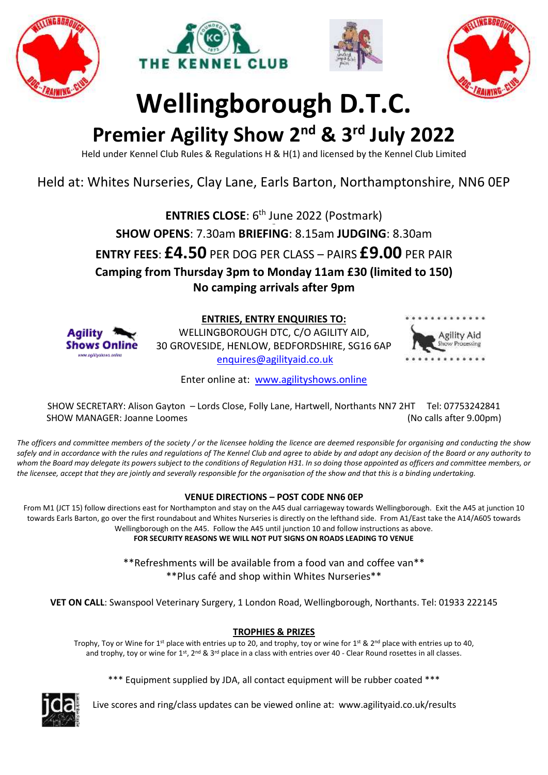







# **Wellingborough D.T.C.**

## **Premier Agility Show 2 nd & 3 rd July 2022**

Held under Kennel Club Rules & Regulations H & H(1) and licensed by the Kennel Club Limited

## Held at: Whites Nurseries, Clay Lane, Earls Barton, Northamptonshire, NN6 0EP

**ENTRIES CLOSE:** 6<sup>th</sup> June 2022 (Postmark)

**Gth SHOW OPENS**: 7.30am **BRIEFING**: 8.15am **JUDGING**: 8.30am

**ENTRY FEES**: **£4.50** PER DOG PER CLASS – PAIRS **£9.00** PER PAIR

**Camping from Thursday 3pm to Monday 11am £30 (limited to 150) No camping arrivals after 9pm**



**ENTRIES, ENTRY ENQUIRIES TO:** 

WELLINGBOROUGH DTC, C/O AGILITY AID, 30 GROVESIDE, HENLOW, BEDFORDSHIRE, SG16 6AP [enquires@agilityaid.co.uk](mailto:enquires@agilityaid.co.uk)



Enter online at: [www.agilityshows.online](http://www.agilityshows.online/)

SHOW SECRETARY: Alison Gayton – Lords Close, Folly Lane, Hartwell, Northants NN7 2HT Tel: 07753242841 SHOW MANAGER: Joanne Loomes (No calls after 9.00pm)

*The officers and committee members of the society / or the licensee holding the licence are deemed responsible for organising and conducting the show safely and in accordance with the rules and regulations of The Kennel Club and agree to abide by and adopt any decision of the Board or any authority to whom the Board may delegate its powers subject to the conditions of Regulation H31. In so doing those appointed as officers and committee members, or the licensee, accept that they are jointly and severally responsible for the organisation of the show and that this is a binding undertaking.*

## **VENUE DIRECTIONS – POST CODE NN6 0EP**

From M1 (JCT 15) follow directions east for Northampton and stay on the A45 dual carriageway towards Wellingborough. Exit the A45 at junction 10 towards Earls Barton, go over the first roundabout and Whites Nurseries is directly on the lefthand side. From A1/East take the A14/A605 towards Wellingborough on the A45. Follow the A45 until junction 10 and follow instructions as above. **FOR SECURITY REASONS WE WILL NOT PUT SIGNS ON ROADS LEADING TO VENUE**

> \*\*Refreshments will be available from a food van and coffee van\*\* \*\*Plus café and shop within Whites Nurseries\*\*

**VET ON CALL**: Swanspool Veterinary Surgery, 1 London Road, Wellingborough, Northants. Tel: 01933 222145

## **TROPHIES & PRIZES**

Trophy, Toy or Wine for 1<sup>st</sup> place with entries up to 20, and trophy, toy or wine for 1st & 2<sup>nd</sup> place with entries up to 40, and trophy, toy or wine for 1st, 2<sup>nd</sup> & 3<sup>rd</sup> place in a class with entries over 40 - Clear Round rosettes in all classes.

\*\*\* Equipment supplied by JDA, all contact equipment will be rubber coated \*\*\*



Live scores and ring/class updates can be viewed online at: www.agilityaid.co.uk/results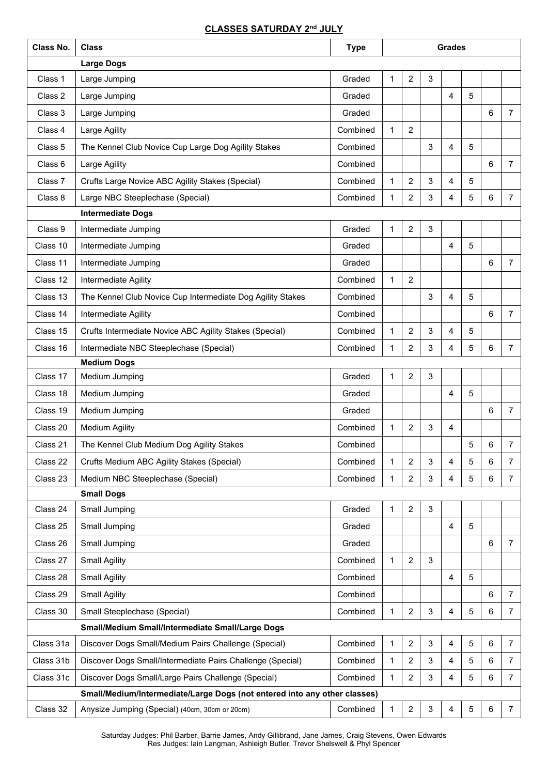### **CLASSES SATURDAY 2 nd JULY**

| Class No. | <b>Class</b>                                                              | <b>Grades</b><br><b>Type</b> |              |                |   |                |   |                     |                |  |
|-----------|---------------------------------------------------------------------------|------------------------------|--------------|----------------|---|----------------|---|---------------------|----------------|--|
|           | <b>Large Dogs</b>                                                         |                              |              |                |   |                |   |                     |                |  |
| Class 1   | Large Jumping                                                             | Graded                       | 1            | 2              | 3 |                |   |                     |                |  |
| Class 2   | Large Jumping                                                             | Graded                       |              |                |   | $\overline{4}$ | 5 |                     |                |  |
| Class 3   | Large Jumping                                                             | Graded                       |              |                |   |                |   | 6                   | $\overline{7}$ |  |
| Class 4   | Large Agility                                                             | Combined                     | 1            | $\overline{2}$ |   |                |   |                     |                |  |
| Class 5   | The Kennel Club Novice Cup Large Dog Agility Stakes                       | Combined                     |              |                | 3 | $\overline{4}$ | 5 |                     |                |  |
| Class 6   | Large Agility                                                             | Combined                     |              |                |   |                |   | 6                   | $\overline{7}$ |  |
| Class 7   | Crufts Large Novice ABC Agility Stakes (Special)                          | Combined                     | 1            | $\overline{2}$ | 3 | 4              | 5 |                     |                |  |
| Class 8   | Large NBC Steeplechase (Special)                                          | Combined                     | 1            | $\overline{2}$ | 3 | 4              | 5 | 6                   | $\overline{7}$ |  |
|           | <b>Intermediate Dogs</b>                                                  |                              |              |                |   |                |   |                     |                |  |
| Class 9   | Intermediate Jumping                                                      | Graded                       | 1            | $\overline{c}$ | 3 |                |   |                     |                |  |
| Class 10  | Intermediate Jumping                                                      | Graded                       |              |                |   | $\overline{4}$ | 5 |                     |                |  |
| Class 11  | Intermediate Jumping                                                      | Graded                       |              |                |   |                |   | 6                   | $\overline{7}$ |  |
| Class 12  | Intermediate Agility                                                      | Combined                     | $\mathbf{1}$ | $\overline{2}$ |   |                |   |                     |                |  |
| Class 13  | The Kennel Club Novice Cup Intermediate Dog Agility Stakes                | Combined                     |              |                | 3 | 4              | 5 |                     |                |  |
| Class 14  | Intermediate Agility                                                      | Combined                     |              |                |   |                |   | 6                   | $\overline{7}$ |  |
| Class 15  | Crufts Intermediate Novice ABC Agility Stakes (Special)                   | Combined                     | $\mathbf{1}$ | 2              | 3 | $\overline{4}$ | 5 |                     |                |  |
| Class 16  | Intermediate NBC Steeplechase (Special)                                   | Combined                     | 1            | 2              | 3 | 4              | 5 | 6                   | $\overline{7}$ |  |
|           | <b>Medium Dogs</b>                                                        |                              |              |                |   |                |   |                     |                |  |
| Class 17  | Medium Jumping                                                            | Graded                       | 1            | $\overline{2}$ | 3 |                |   |                     |                |  |
| Class 18  | Medium Jumping                                                            | Graded                       |              |                |   | 4              | 5 |                     |                |  |
| Class 19  | Medium Jumping                                                            | Graded                       |              |                |   |                |   | 6                   | $\overline{7}$ |  |
| Class 20  | <b>Medium Agility</b>                                                     | Combined                     | 1            | $\overline{2}$ | 3 | $\overline{4}$ |   |                     |                |  |
| Class 21  | The Kennel Club Medium Dog Agility Stakes                                 | Combined                     |              |                |   |                | 5 | 6                   | 7              |  |
| Class 22  | Crufts Medium ABC Agility Stakes (Special)                                | Combined                     | 1            | 2              | 3 | 4              | 5 | 6                   | $\overline{7}$ |  |
| Class 23  | Medium NBC Steeplechase (Special)                                         | Combined                     | 1            | $\overline{2}$ | 3 | $\overline{4}$ | 5 | 6                   | $\overline{7}$ |  |
|           | <b>Small Dogs</b>                                                         |                              |              |                |   |                |   |                     |                |  |
| Class 24  | Small Jumping                                                             | Graded                       | 1            | $\overline{2}$ | 3 |                |   |                     |                |  |
| Class 25  | Small Jumping                                                             | Graded                       |              |                |   | $\overline{4}$ | 5 |                     |                |  |
| Class 26  | Small Jumping                                                             | Graded                       |              |                |   |                |   | 6                   | $\overline{7}$ |  |
| Class 27  | <b>Small Agility</b>                                                      | Combined                     | 1            | $\overline{c}$ | 3 |                |   |                     |                |  |
| Class 28  | <b>Small Agility</b>                                                      | Combined                     |              |                |   | $\overline{4}$ | 5 |                     |                |  |
| Class 29  | <b>Small Agility</b>                                                      | Combined                     |              |                |   |                |   | 6                   | $\overline{7}$ |  |
| Class 30  | Small Steeplechase (Special)                                              | Combined                     | 1            | $\overline{2}$ | 3 | 4              | 5 | 6                   | $\overline{7}$ |  |
|           | Small/Medium Small/Intermediate Small/Large Dogs                          |                              |              |                |   |                |   |                     |                |  |
| Class 31a | Discover Dogs Small/Medium Pairs Challenge (Special)                      | Combined                     | $\mathbf{1}$ | $\overline{2}$ | 3 | $\overline{4}$ | 5 | 6                   | $\overline{7}$ |  |
| Class 31b | Discover Dogs Small/Intermediate Pairs Challenge (Special)                | Combined                     | 1            | $\overline{2}$ | 3 | $\overline{4}$ | 5 | 6<br>$\overline{7}$ |                |  |
| Class 31c | Discover Dogs Small/Large Pairs Challenge (Special)                       | Combined                     | 1            | $\overline{2}$ | 3 | $\overline{4}$ | 5 | 6                   | $\overline{7}$ |  |
|           | Small/Medium/Intermediate/Large Dogs (not entered into any other classes) |                              |              |                |   |                |   |                     |                |  |
| Class 32  | Anysize Jumping (Special) (40cm, 30cm or 20cm)                            | Combined                     | 1            | $\overline{c}$ | 3 | 4              | 5 | 6                   | $\overline{7}$ |  |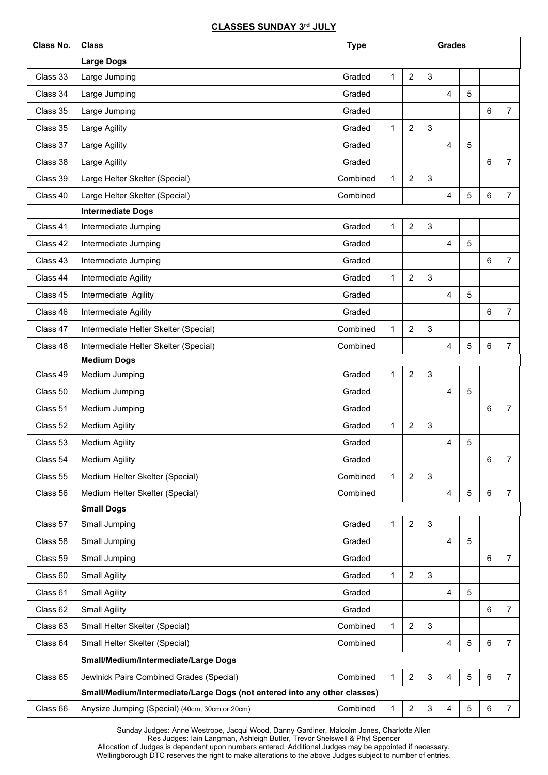## **CLASSES SUNDAY 3rd JULY**

| Class No. | <b>Class</b>                                                                                            | <b>Type</b> | <b>Grades</b> |                  |   |                |            |                |                |  |
|-----------|---------------------------------------------------------------------------------------------------------|-------------|---------------|------------------|---|----------------|------------|----------------|----------------|--|
|           | <b>Large Dogs</b>                                                                                       |             |               |                  |   |                |            |                |                |  |
| Class 33  | Large Jumping                                                                                           | Graded      | 1             | $\overline{c}$   | 3 |                |            |                |                |  |
| Class 34  | Large Jumping                                                                                           | Graded      |               |                  |   | 4              | 5          |                |                |  |
| Class 35  | Large Jumping                                                                                           | Graded      |               |                  |   |                |            | 6              | $\overline{7}$ |  |
| Class 35  | Large Agility                                                                                           | Graded      | 1             | $\overline{c}$   | 3 |                |            |                |                |  |
| Class 37  | Large Agility                                                                                           | Graded      |               |                  |   | $\overline{4}$ | 5          |                |                |  |
| Class 38  | Large Agility                                                                                           | Graded      |               |                  |   |                |            | 6              | $\overline{7}$ |  |
| Class 39  | Large Helter Skelter (Special)                                                                          | Combined    | 1             | $\overline{c}$   | 3 |                |            |                |                |  |
| Class 40  | Large Helter Skelter (Special)                                                                          | Combined    |               |                  |   | $\overline{4}$ | 5          | 6              | $\overline{7}$ |  |
|           | <b>Intermediate Dogs</b>                                                                                |             |               |                  |   |                |            |                |                |  |
| Class 41  | Intermediate Jumping                                                                                    | Graded      | 1             | $\overline{c}$   | 3 |                |            |                |                |  |
| Class 42  | Intermediate Jumping                                                                                    | Graded      |               |                  |   | 4              | 5          |                |                |  |
| Class 43  | Intermediate Jumping                                                                                    | Graded      |               |                  |   |                |            | 6              | $\overline{7}$ |  |
| Class 44  | Intermediate Agility                                                                                    | Graded      | 1             | $\overline{c}$   | 3 |                |            |                |                |  |
| Class 45  | Intermediate Agility                                                                                    | Graded      |               |                  |   | 4              | 5          |                |                |  |
| Class 46  | Intermediate Agility                                                                                    | Graded      |               |                  |   |                |            | 6              | $\overline{7}$ |  |
| Class 47  | Intermediate Helter Skelter (Special)                                                                   | Combined    | 1             | $\overline{c}$   | 3 |                |            |                |                |  |
| Class 48  | Intermediate Helter Skelter (Special)                                                                   | Combined    |               |                  |   | $\overline{4}$ | $\sqrt{5}$ | $\,6\,$        | $\overline{7}$ |  |
|           | <b>Medium Dogs</b>                                                                                      |             |               |                  |   |                |            |                |                |  |
| Class 49  | Medium Jumping                                                                                          | Graded      | 1             | $\overline{c}$   | 3 |                |            |                |                |  |
| Class 50  | Medium Jumping                                                                                          | Graded      |               |                  |   | 4              | 5          |                |                |  |
| Class 51  | Medium Jumping                                                                                          | Graded      |               |                  |   |                |            | 6              | $\overline{7}$ |  |
| Class 52  | <b>Medium Agility</b>                                                                                   | Graded      | 1             | $\overline{2}$   | 3 |                |            |                |                |  |
| Class 53  | <b>Medium Agility</b>                                                                                   | Graded      |               |                  |   | 4              | 5          |                |                |  |
| Class 54  | <b>Medium Agility</b>                                                                                   | Graded      |               |                  |   |                |            | 6              | $\overline{7}$ |  |
| Class 55  | Medium Helter Skelter (Special)                                                                         | Combined    | 1             | $\overline{c}$   | 3 |                |            |                |                |  |
| Class 56  | Medium Helter Skelter (Special)                                                                         | Combined    |               |                  |   | $\overline{4}$ | 5          | $\,6\,$        | $\overline{7}$ |  |
|           | <b>Small Dogs</b>                                                                                       |             |               |                  |   |                |            |                |                |  |
| Class 57  | Small Jumping                                                                                           | Graded      | 1             | $\overline{c}$   | 3 |                |            |                |                |  |
| Class 58  | Small Jumping                                                                                           | Graded      |               |                  |   | $\overline{4}$ | 5          |                |                |  |
| Class 59  | Small Jumping                                                                                           | Graded      |               |                  |   |                |            | 6              | $\overline{7}$ |  |
| Class 60  | <b>Small Agility</b>                                                                                    | Graded      | 1             | $\overline{c}$   | 3 |                |            |                |                |  |
| Class 61  | <b>Small Agility</b>                                                                                    | Graded      |               |                  |   | $\overline{4}$ | 5          |                |                |  |
| Class 62  | <b>Small Agility</b>                                                                                    | Graded      |               |                  |   |                |            | $6\phantom{a}$ | $\overline{7}$ |  |
| Class 63  | Small Helter Skelter (Special)                                                                          | Combined    | 1             | $\overline{c}$   | 3 |                |            |                |                |  |
| Class 64  | Small Helter Skelter (Special)                                                                          | Combined    |               |                  |   | $\overline{4}$ | 5          | $\,6\,$        | $\overline{7}$ |  |
|           | Small/Medium/Intermediate/Large Dogs                                                                    |             |               |                  |   |                |            |                |                |  |
| Class 65  | $\overline{c}$<br>Combined<br>3<br>$\overline{4}$<br>5<br>Jewlnick Pairs Combined Grades (Special)<br>1 |             |               |                  |   |                | $\,6\,$    | $\overline{7}$ |                |  |
|           | Small/Medium/Intermediate/Large Dogs (not entered into any other classes)                               |             |               |                  |   |                |            |                |                |  |
| Class 66  | Anysize Jumping (Special) (40cm, 30cm or 20cm)                                                          | Combined    | 1             | $\boldsymbol{2}$ | 3 | $\overline{4}$ | $\sqrt{5}$ | $\,6\,$        | $\overline{7}$ |  |

Sunday Judges: Anne Westrope, Jacqui Wood, Danny Gardiner, Malcolm Jones, Charlotte Allen

Res Judges: Iain Langman, Ashleigh Butler, Trevor Shelswell & Phyl Spencer

Allocation of Judges is dependent upon numbers entered. Additional Judges may be appointed if necessary. Wellingborough DTC reserves the right to make alterations to the above Judges subject to number of entries.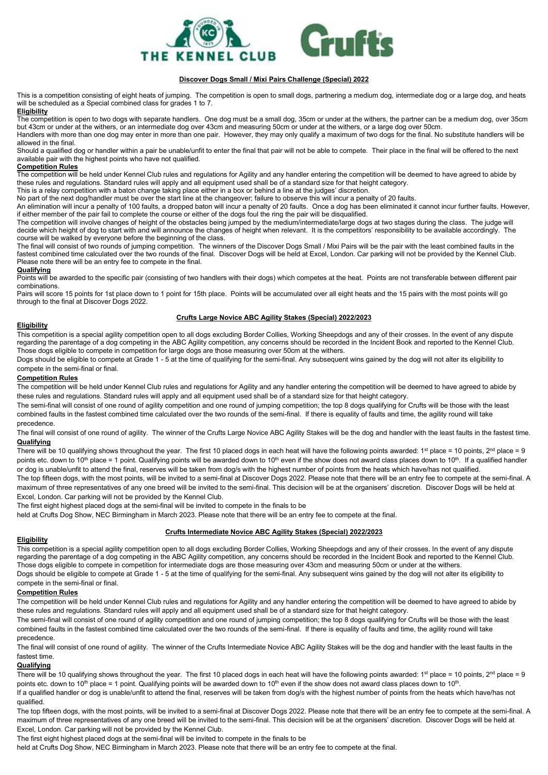

#### **Discover Dogs Small / Mixi Pairs Challenge (Special) 2022**

This is a competition consisting of eight heats of jumping. The competition is open to small dogs, partnering a medium dog, intermediate dog or a large dog, and heats will be scheduled as a Special combined class for grades 1 to 7.

#### **Eligibility**

The competition is open to two dogs with separate handlers. One dog must be a small dog, 35cm or under at the withers, the partner can be a medium dog, over 35cm but 43cm or under at the withers, or an intermediate dog over 43cm and measuring 50cm or under at the withers, or a large dog over 50cm. Handlers with more than one dog may enter in more than one pair. However, they may only qualify a maximum of two dogs for the final. No substitute handlers will be allowed in the final.

Should a qualified dog or handler within a pair be unable/unfit to enter the final that pair will not be able to compete. Their place in the final will be offered to the next available pair with the highest points who have not qualified.

#### **Competition Rules**

The competition will be held under Kennel Club rules and regulations for Agility and any handler entering the competition will be deemed to have agreed to abide by these rules and regulations. Standard rules will apply and all equipment used shall be of a standard size for that height category.

This is a relay competition with a baton change taking place either in a box or behind a line at the judges' discretion.

No part of the next dog/handler must be over the start line at the changeover; failure to observe this will incur a penalty of 20 faults.

An elimination will incur a penalty of 100 faults, a dropped baton will incur a penalty of 20 faults. Once a dog has been eliminated it cannot incur further faults. However, if either member of the pair fail to complete the course or either of the dogs foul the ring the pair will be disqualified.

The competition will involve changes of height of the obstacles being jumped by the medium/intermediate/large dogs at two stages during the class. The judge will decide which height of dog to start with and will announce the changes of height when relevant. It is the competitors' responsibility to be available accordingly. The course will be walked by everyone before the beginning of the class.

The final will consist of two rounds of jumping competition. The winners of the Discover Dogs Small / Mixi Pairs will be the pair with the least combined faults in the fastest combined time calculated over the two rounds of the final. Discover Dogs will be held at Excel, London. Car parking will not be provided by the Kennel Club. Please note there will be an entry fee to compete in the final.

#### **Qualifying**

Points will be awarded to the specific pair (consisting of two handlers with their dogs) which competes at the heat. Points are not transferable between different pair combinations.

Pairs will score 15 points for 1st place down to 1 point for 15th place. Points will be accumulated over all eight heats and the 15 pairs with the most points will go through to the final at Discover Dogs 2022.

#### **Crufts Large Novice ABC Agility Stakes (Special) 2022/2023**

#### **Eligibility**

This competition is a special agility competition open to all dogs excluding Border Collies, Working Sheepdogs and any of their crosses. In the event of any dispute regarding the parentage of a dog competing in the ABC Agility competition, any concerns should be recorded in the Incident Book and reported to the Kennel Club. Those dogs eligible to compete in competition for large dogs are those measuring over 50cm at the withers.

Dogs should be eligible to compete at Grade 1 - 5 at the time of qualifying for the semi-final. Any subsequent wins gained by the dog will not alter its eligibility to compete in the semi-final or final.

#### **Competition Rules**

The competition will be held under Kennel Club rules and regulations for Agility and any handler entering the competition will be deemed to have agreed to abide by these rules and regulations. Standard rules will apply and all equipment used shall be of a standard size for that height category.

The semi-final will consist of one round of agility competition and one round of jumping competition; the top 8 dogs qualifying for Crufts will be those with the least combined faults in the fastest combined time calculated over the two rounds of the semi-final. If there is equality of faults and time, the agility round will take precedence.

The final will consist of one round of agility. The winner of the Crufts Large Novice ABC Agility Stakes will be the dog and handler with the least faults in the fastest time. **Qualifying**

There will be 10 qualifying shows throughout the year. The first 10 placed dogs in each heat will have the following points awarded: 1<sup>st</sup> place = 10 points, 2<sup>nd</sup> place = 9 points etc. down to 10<sup>th</sup> place = 1 point. Qualifying points will be awarded down to 10<sup>th</sup> even if the show does not award class places down to 10<sup>th</sup>. If a qualified handler or dog is unable/unfit to attend the final, reserves will be taken from dog/s with the highest number of points from the heats which have/has not qualified.

The top fifteen dogs, with the most points, will be invited to a semi-final at Discover Dogs 2022. Please note that there will be an entry fee to compete at the semi-final. A maximum of three representatives of any one breed will be invited to the semi-final. This decision will be at the organisers' discretion. Discover Dogs will be held at Excel, London. Car parking will not be provided by the Kennel Club.

The first eight highest placed dogs at the semi-final will be invited to compete in the finals to be

held at Crufts Dog Show, NEC Birmingham in March 2023. Please note that there will be an entry fee to compete at the final.

#### **Crufts Intermediate Novice ABC Agility Stakes (Special) 2022/2023**

#### **Eligibility**

This competition is a special agility competition open to all dogs excluding Border Collies, Working Sheepdogs and any of their crosses. In the event of any dispute regarding the parentage of a dog competing in the ABC Agility competition, any concerns should be recorded in the Incident Book and reported to the Kennel Club. Those dogs eligible to compete in competition for intermediate dogs are those measuring over 43cm and measuring 50cm or under at the withers. Dogs should be eligible to compete at Grade 1 - 5 at the time of qualifying for the semi-final. Any subsequent wins gained by the dog will not alter its eligibility to

#### compete in the semi-final or final. **Competition Rules**

The competition will be held under Kennel Club rules and regulations for Agility and any handler entering the competition will be deemed to have agreed to abide by these rules and regulations. Standard rules will apply and all equipment used shall be of a standard size for that height category.

The semi-final will consist of one round of agility competition and one round of jumping competition; the top 8 dogs qualifying for Crufts will be those with the least combined faults in the fastest combined time calculated over the two rounds of the semi-final. If there is equality of faults and time, the agility round will take precedence.

The final will consist of one round of agility. The winner of the Crufts Intermediate Novice ABC Agility Stakes will be the dog and handler with the least faults in the fastest time.

#### **Qualifying**

There will be 10 qualifying shows throughout the year. The first 10 placed dogs in each heat will have the following points awarded: 1<sup>st</sup> place = 10 points, 2<sup>nd</sup> place = 9 points etc. down to 10<sup>th</sup> place = 1 point. Qualifying points will be awarded down to 10<sup>th</sup> even if the show does not award class places down to 10<sup>th</sup>. If a qualified handler or dog is unable/unfit to attend the final, reserves will be taken from dog/s with the highest number of points from the heats which have/has not qualified.

The top fifteen dogs, with the most points, will be invited to a semi-final at Discover Dogs 2022. Please note that there will be an entry fee to compete at the semi-final. A maximum of three representatives of any one breed will be invited to the semi-final. This decision will be at the organisers' discretion. Discover Dogs will be held at Excel, London. Car parking will not be provided by the Kennel Club.

The first eight highest placed dogs at the semi-final will be invited to compete in the finals to be

held at Crufts Dog Show, NEC Birmingham in March 2023. Please note that there will be an entry fee to compete at the final.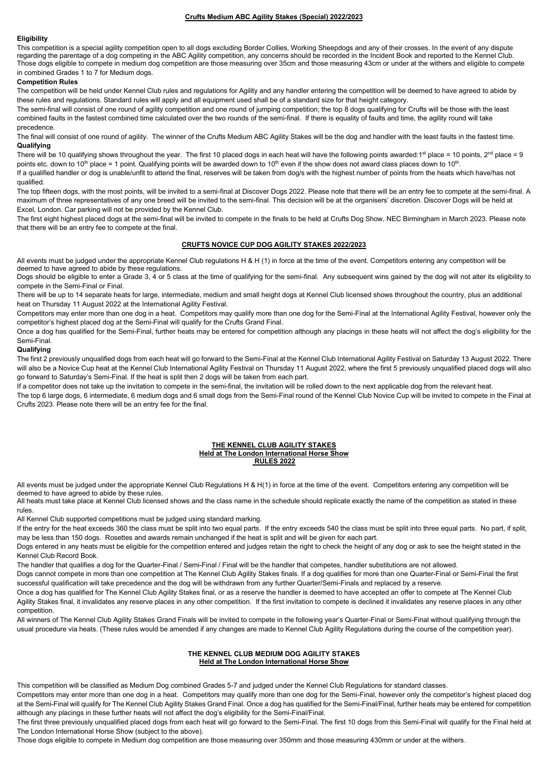#### **Crufts Medium ABC Agility Stakes (Special) 2022/2023**

#### **Eligibility**

This competition is a special agility competition open to all dogs excluding Border Collies, Working Sheepdogs and any of their crosses. In the event of any dispute regarding the parentage of a dog competing in the ABC Agility competition, any concerns should be recorded in the Incident Book and reported to the Kennel Club. Those dogs eligible to compete in medium dog competition are those measuring over 35cm and those measuring 43cm or under at the withers and eligible to compete in combined Grades 1 to 7 for Medium dogs.

#### **Competition Rules**

The competition will be held under Kennel Club rules and regulations for Agility and any handler entering the competition will be deemed to have agreed to abide by these rules and regulations. Standard rules will apply and all equipment used shall be of a standard size for that height category.

The semi-final will consist of one round of agility competition and one round of jumping competition; the top 8 dogs qualifying for Crufts will be those with the least combined faults in the fastest combined time calculated over the two rounds of the semi-final. If there is equality of faults and time, the agility round will take precedence.

The final will consist of one round of agility. The winner of the Crufts Medium ABC Agility Stakes will be the dog and handler with the least faults in the fastest time. **Qualifying**

There will be 10 qualifying shows throughout the year. The first 10 placed dogs in each heat will have the following points awarded: 1<sup>st</sup> place = 10 points,  $2<sup>nd</sup>$  place = 9 points etc. down to 10th place = 1 point. Qualifying points will be awarded down to 10<sup>th</sup> even if the show does not award class places down to 10<sup>th</sup>. If a qualified handler or dog is unable/unfit to attend the final, reserves will be taken from dog/s with the highest number of points from the heats which have/has not qualified.

The top fifteen dogs, with the most points, will be invited to a semi-final at Discover Dogs 2022. Please note that there will be an entry fee to compete at the semi-final. A maximum of three representatives of any one breed will be invited to the semi-final. This decision will be at the organisers' discretion. Discover Dogs will be held at Excel, London. Car parking will not be provided by the Kennel Club.

The first eight highest placed dogs at the semi-final will be invited to compete in the finals to be held at Crufts Dog Show, NEC Birmingham in March 2023. Please note that there will be an entry fee to compete at the final.

#### **CRUFTS NOVICE CUP DOG AGILITY STAKES 2022/2023**

All events must be judged under the appropriate Kennel Club regulations H & H (1) in force at the time of the event. Competitors entering any competition will be deemed to have agreed to abide by these regulations.

Dogs should be eligible to enter a Grade 3, 4 or 5 class at the time of qualifying for the semi-final. Any subsequent wins gained by the dog will not alter its eligibility to compete in the Semi-Final or Final.

There will be up to 14 separate heats for large, intermediate, medium and small height dogs at Kennel Club licensed shows throughout the country, plus an additional heat on Thursday 11 August 2022 at the International Agility Festival.

Competitors may enter more than one dog in a heat. Competitors may qualify more than one dog for the Semi-Final at the International Agility Festival, however only the competitor's highest placed dog at the Semi-Final will qualify for the Crufts Grand Final.

Once a dog has qualified for the Semi-Final, further heats may be entered for competition although any placings in these heats will not affect the dog's eligibility for the Semi-Final.

#### **Qualifying**

The first 2 previously unqualified dogs from each heat will go forward to the Semi-Final at the Kennel Club International Agility Festival on Saturday 13 August 2022. There will also be a Novice Cup heat at the Kennel Club International Agility Festival on Thursday 11 August 2022, where the first 5 previously unqualified placed dogs will also go forward to Saturday's Semi-Final. If the heat is split then 2 dogs will be taken from each part.

If a competitor does not take up the invitation to compete in the semi-final, the invitation will be rolled down to the next applicable dog from the relevant heat.

The top 6 large dogs, 6 intermediate, 6 medium dogs and 6 small dogs from the Semi-Final round of the Kennel Club Novice Cup will be invited to compete in the Final at Crufts 2023. Please note there will be an entry fee for the final.

#### **THE KENNEL CLUB AGILITY STAKES Held at The London International Horse Show RULES 2022**

All events must be judged under the appropriate Kennel Club Regulations H & H(1) in force at the time of the event. Competitors entering any competition will be deemed to have agreed to abide by these rules.

All heats must take place at Kennel Club licensed shows and the class name in the schedule should replicate exactly the name of the competition as stated in these rules.

All Kennel Club supported competitions must be judged using standard marking.

If the entry for the heat exceeds 360 the class must be split into two equal parts. If the entry exceeds 540 the class must be split into three equal parts. No part, if split, may be less than 150 dogs. Rosettes and awards remain unchanged if the heat is split and will be given for each part.

Dogs entered in any heats must be eligible for the competition entered and judges retain the right to check the height of any dog or ask to see the height stated in the Kennel Club Record Book.

The handler that qualifies a dog for the Quarter-Final / Semi-Final / Final will be the handler that competes, handler substitutions are not allowed.

Dogs cannot compete in more than one competition at The Kennel Club Agility Stakes finals. If a dog qualifies for more than one Quarter-Final or Semi-Final the first successful qualification will take precedence and the dog will be withdrawn from any further Quarter/Semi-Finals and replaced by a reserve.

Once a dog has qualified for The Kennel Club Agility Stakes final, or as a reserve the handler is deemed to have accepted an offer to compete at The Kennel Club Agility Stakes final, it invalidates any reserve places in any other competition. If the first invitation to compete is declined it invalidates any reserve places in any other competition.

All winners of The Kennel Club Agility Stakes Grand Finals will be invited to compete in the following year's Quarter-Final or Semi-Final without qualifying through the usual procedure via heats. (These rules would be amended if any changes are made to Kennel Club Agility Regulations during the course of the competition year).

#### **THE KENNEL CLUB MEDIUM DOG AGILITY STAKES Held at The London International Horse Show**

This competition will be classified as Medium Dog combined Grades 5-7 and judged under the Kennel Club Regulations for standard classes.

Competitors may enter more than one dog in a heat. Competitors may qualify more than one dog for the Semi-Final, however only the competitor's highest placed dog at the Semi-Final will qualify for The Kennel Club Agility Stakes Grand Final. Once a dog has qualified for the Semi-Final/Final, further heats may be entered for competition although any placings in these further heats will not affect the dog's eligibility for the Semi-Final/Final.

The first three previously unqualified placed dogs from each heat will go forward to the Semi-Final. The first 10 dogs from this Semi-Final will qualify for the Final held at The London International Horse Show (subject to the above).

Those dogs eligible to compete in Medium dog competition are those measuring over 350mm and those measuring 430mm or under at the withers.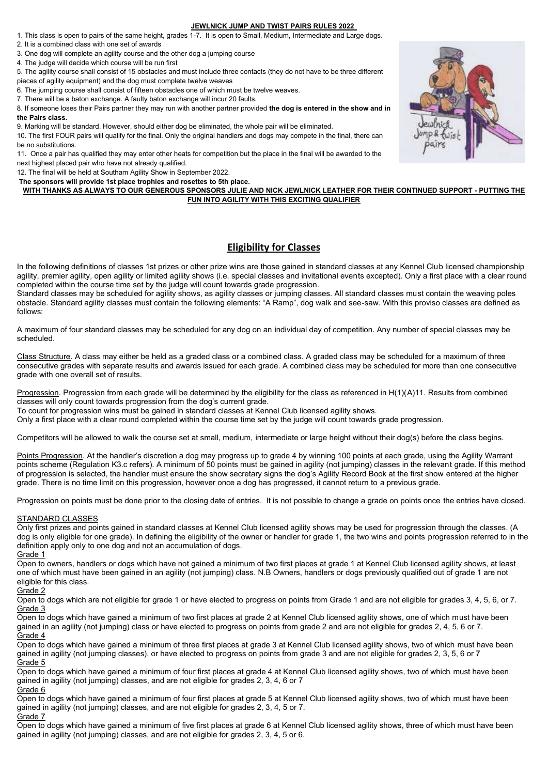#### **JEWLNICK JUMP AND TWIST PAIRS RULES 2022**

- 1. This class is open to pairs of the same height, grades 1-7. It is open to Small, Medium, Intermediate and Large dogs.
- 2. It is a combined class with one set of awards
- 3. One dog will complete an agility course and the other dog a jumping course
- 4. The judge will decide which course will be run first
- 5. The agility course shall consist of 15 obstacles and must include three contacts (they do not have to be three different
- pieces of agility equipment) and the dog must complete twelve weaves
- 6. The jumping course shall consist of fifteen obstacles one of which must be twelve weaves.
- 7. There will be a baton exchange. A faulty baton exchange will incur 20 faults.

8. If someone loses their Pairs partner they may run with another partner provided **the dog is entered in the show and in the Pairs class.**

9. Marking will be standard. However, should either dog be eliminated, the whole pair will be eliminated. 10. The first FOUR pairs will qualify for the final. Only the original handlers and dogs may compete in the final, there can be no substitutions.

11. Once a pair has qualified they may enter other heats for competition but the place in the final will be awarded to the next highest placed pair who have not already qualified.

12. The final will be held at Southam Agility Show in September 2022.

**The sponsors will provide 1st place trophies and rosettes to 5th place.**

**WITH THANKS AS ALWAYS TO OUR GENEROUS SPONSORS JULIE AND NICK JEWLNICK LEATHER FOR THEIR CONTINUED SUPPORT - PUTTING THE FUN INTO AGILITY WITH THIS EXCITING QUALIFIER**

### **Eligibility for Classes**

In the following definitions of classes 1st prizes or other prize wins are those gained in standard classes at any Kennel Club licensed championship agility, premier agility, open agility or limited agility shows (i.e. special classes and invitational events excepted). Only a first place with a clear round completed within the course time set by the judge will count towards grade progression.

Standard classes may be scheduled for agility shows, as agility classes or jumping classes. All standard classes must contain the weaving poles obstacle. Standard agility classes must contain the following elements: "A Ramp", dog walk and see-saw. With this proviso classes are defined as follows:

A maximum of four standard classes may be scheduled for any dog on an individual day of competition. Any number of special classes may be scheduled.

Class Structure. A class may either be held as a graded class or a combined class. A graded class may be scheduled for a maximum of three consecutive grades with separate results and awards issued for each grade. A combined class may be scheduled for more than one consecutive grade with one overall set of results.

Progression. Progression from each grade will be determined by the eligibility for the class as referenced in H(1)(A)11. Results from combined classes will only count towards progression from the dog's current grade.

To count for progression wins must be gained in standard classes at Kennel Club licensed agility shows.

Only a first place with a clear round completed within the course time set by the judge will count towards grade progression.

Competitors will be allowed to walk the course set at small, medium, intermediate or large height without their dog(s) before the class begins.

Points Progression. At the handler's discretion a dog may progress up to grade 4 by winning 100 points at each grade, using the Agility Warrant points scheme (Regulation K3.c refers). A minimum of 50 points must be gained in agility (not jumping) classes in the relevant grade. If this method of progression is selected, the handler must ensure the show secretary signs the dog's Agility Record Book at the first show entered at the higher grade. There is no time limit on this progression, however once a dog has progressed, it cannot return to a previous grade.

Progression on points must be done prior to the closing date of entries. It is not possible to change a grade on points once the entries have closed.

#### STANDARD CLASSES

Only first prizes and points gained in standard classes at Kennel Club licensed agility shows may be used for progression through the classes. (A dog is only eligible for one grade). In defining the eligibility of the owner or handler for grade 1, the two wins and points progression referred to in the definition apply only to one dog and not an accumulation of dogs.

#### Grade 1

Open to owners, handlers or dogs which have not gained a minimum of two first places at grade 1 at Kennel Club licensed agility shows, at least one of which must have been gained in an agility (not jumping) class. N.B Owners, handlers or dogs previously qualified out of grade 1 are not eligible for this class.

#### Grade 2

Open to dogs which are not eligible for grade 1 or have elected to progress on points from Grade 1 and are not eligible for grades 3, 4, 5, 6, or 7. Grade 3

Open to dogs which have gained a minimum of two first places at grade 2 at Kennel Club licensed agility shows, one of which must have been gained in an agility (not jumping) class or have elected to progress on points from grade 2 and are not eligible for grades 2, 4, 5, 6 or 7. Grade 4

Open to dogs which have gained a minimum of three first places at grade 3 at Kennel Club licensed agility shows, two of which must have been gained in agility (not jumping classes), or have elected to progress on points from grade 3 and are not eligible for grades 2, 3, 5, 6 or 7 Grade 5

Open to dogs which have gained a minimum of four first places at grade 4 at Kennel Club licensed agility shows, two of which must have been gained in agility (not jumping) classes, and are not eligible for grades 2, 3, 4, 6 or 7

#### Grade 6

Open to dogs which have gained a minimum of four first places at grade 5 at Kennel Club licensed agility shows, two of which must have been gained in agility (not jumping) classes, and are not eligible for grades 2, 3, 4, 5 or 7.

Grade 7

Open to dogs which have gained a minimum of five first places at grade 6 at Kennel Club licensed agility shows, three of which must have been gained in agility (not jumping) classes, and are not eligible for grades 2, 3, 4, 5 or 6.

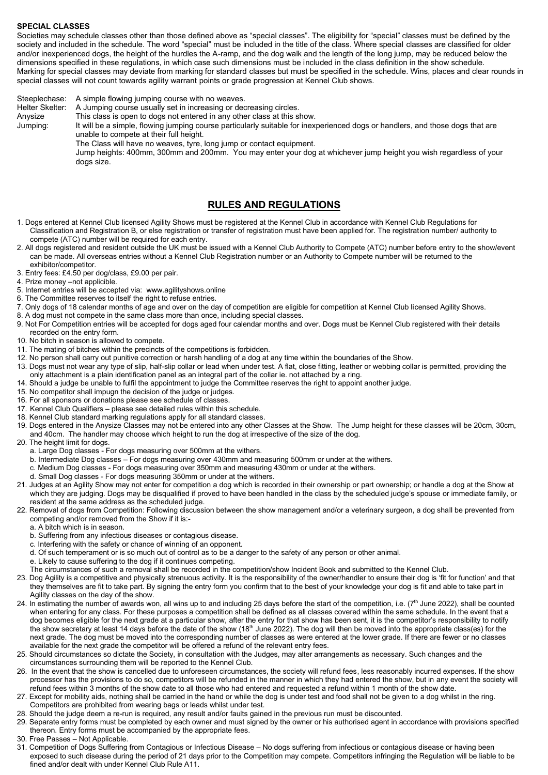#### **SPECIAL CLASSES**

Societies may schedule classes other than those defined above as "special classes". The eligibility for "special" classes must be defined by the society and included in the schedule. The word "special" must be included in the title of the class. Where special classes are classified for older and/or inexperienced dogs, the height of the hurdles the A-ramp, and the dog walk and the length of the long jump, may be reduced below the dimensions specified in these regulations, in which case such dimensions must be included in the class definition in the show schedule. Marking for special classes may deviate from marking for standard classes but must be specified in the schedule. Wins, places and clear rounds in special classes will not count towards agility warrant points or grade progression at Kennel Club shows.

Steeplechase: A simple flowing jumping course with no weaves. Helter Skelter: A Jumping course usually set in increasing or decreasing circles. Anysize This class is open to dogs not entered in any other class at this show. Jumping: It will be a simple, flowing jumping course particularly suitable for inexperienced dogs or handlers, and those dogs that are unable to compete at their full height. The Class will have no weaves, tyre, long jump or contact equipment. Jump heights: 400mm, 300mm and 200mm. You may enter your dog at whichever jump height you wish regardless of your dogs size.

## **RULES AND REGULATIONS**

- 1. Dogs entered at Kennel Club licensed Agility Shows must be registered at the Kennel Club in accordance with Kennel Club Regulations for Classification and Registration B, or else registration or transfer of registration must have been applied for. The registration number/ authority to compete (ATC) number will be required for each entry.
- 2. All dogs registered and resident outside the UK must be issued with a Kennel Club Authority to Compete (ATC) number before entry to the show/event can be made. All overseas entries without a Kennel Club Registration number or an Authority to Compete number will be returned to the exhibitor/competitor.
- 3. Entry fees: £4.50 per dog/class, £9.00 per pair.
- 4. Prize money –not applicible.
- 5. Internet entries will be accepted via: www.agilityshows.online
- 6. The Committee reserves to itself the right to refuse entries.
- 7. Only dogs of 18 calendar months of age and over on the day of competition are eligible for competition at Kennel Club licensed Agility Shows.
- 8. A dog must not compete in the same class more than once, including special classes.
- 9. Not For Competition entries will be accepted for dogs aged four calendar months and over. Dogs must be Kennel Club registered with their details recorded on the entry form.
- 10. No bitch in season is allowed to compete.
- 11. The mating of bitches within the precincts of the competitions is forbidden.
- 12. No person shall carry out punitive correction or harsh handling of a dog at any time within the boundaries of the Show.
- 13. Dogs must not wear any type of slip, half-slip collar or lead when under test. A flat, close fitting, leather or webbing collar is permitted, providing the only attachment is a plain identification panel as an integral part of the collar ie. not attached by a ring.
- 14. Should a judge be unable to fulfil the appointment to judge the Committee reserves the right to appoint another judge.
- 15. No competitor shall impugn the decision of the judge or judges.
- 16. For all sponsors or donations please see schedule of classes.
- 17. Kennel Club Qualifiers please see detailed rules within this schedule.
- 18. Kennel Club standard marking regulations apply for all standard classes.
- 19. Dogs entered in the Anysize Classes may not be entered into any other Classes at the Show. The Jump height for these classes will be 20cm, 30cm, and 40cm. The handler may choose which height to run the dog at irrespective of the size of the dog.
- 20. The height limit for dogs.
	- a. Large Dog classes For dogs measuring over 500mm at the withers.
	- b. Intermediate Dog classes For dogs measuring over 430mm and measuring 500mm or under at the withers.
	- c. Medium Dog classes For dogs measuring over 350mm and measuring 430mm or under at the withers.
	- d. Small Dog classes For dogs measuring 350mm or under at the withers.
- 21. Judges at an Agility Show may not enter for competition a dog which is recorded in their ownership or part ownership; or handle a dog at the Show at which they are judging. Dogs may be disqualified if proved to have been handled in the class by the scheduled judge's spouse or immediate family, or resident at the same address as the scheduled judge.
- 22. Removal of dogs from Competition: Following discussion between the show management and/or a veterinary surgeon, a dog shall be prevented from competing and/or removed from the Show if it is:
	- a. A bitch which is in season.
	- b. Suffering from any infectious diseases or contagious disease.
	- c. Interfering with the safety or chance of winning of an opponent.
	- d. Of such temperament or is so much out of control as to be a danger to the safety of any person or other animal.
	- e. Likely to cause suffering to the dog if it continues competing.
	- The circumstances of such a removal shall be recorded in the competition/show Incident Book and submitted to the Kennel Club.
- 23. Dog Agility is a competitive and physically strenuous activity. It is the responsibility of the owner/handler to ensure their dog is 'fit for function' and that they themselves are fit to take part. By signing the entry form you confirm that to the best of your knowledge your dog is fit and able to take part in Agility classes on the day of the show.
- 24. In estimating the number of awards won, all wins up to and including 25 days before the start of the competition, i.e. (7<sup>th</sup> June 2022), shall be counted when entering for any class. For these purposes a competition shall be defined as all classes covered within the same schedule. In the event that a dog becomes eligible for the next grade at a particular show, after the entry for that show has been sent, it is the competitor's responsibility to notify the show secretary at least 14 days before the date of the show (18<sup>th</sup> June 2022). The dog will then be moved into the appropriate class(es) for the next grade. The dog must be moved into the corresponding number of classes as were entered at the lower grade. If there are fewer or no classes available for the next grade the competitor will be offered a refund of the relevant entry fees.
- 25. Should circumstances so dictate the Society, in consultation with the Judges, may alter arrangements as necessary. Such changes and the circumstances surrounding them will be reported to the Kennel Club.
- 26. In the event that the show is cancelled due to unforeseen circumstances, the society will refund fees, less reasonably incurred expenses. If the show processor has the provisions to do so, competitors will be refunded in the manner in which they had entered the show, but in any event the society will refund fees within 3 months of the show date to all those who had entered and requested a refund within 1 month of the show date.
- 27. Except for mobility aids, nothing shall be carried in the hand or while the dog is under test and food shall not be given to a dog whilst in the ring. Competitors are prohibited from wearing bags or leads whilst under test.
- 28. Should the judge deem a re-run is required, any result and/or faults gained in the previous run must be discounted.
- 29. Separate entry forms must be completed by each owner and must signed by the owner or his authorised agent in accordance with provisions specified thereon. Entry forms must be accompanied by the appropriate fees.
- 30. Free Passes Not Applicable.
- 31. Competition of Dogs Suffering from Contagious or Infectious Disease No dogs suffering from infectious or contagious disease or having been exposed to such disease during the period of 21 days prior to the Competition may compete. Competitors infringing the Regulation will be liable to be fined and/or dealt with under Kennel Club Rule A11.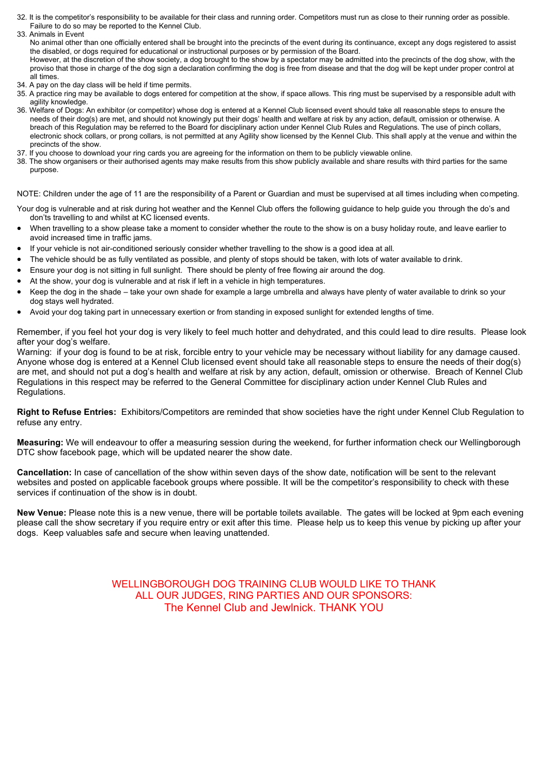- 32. It is the competitor's responsibility to be available for their class and running order. Competitors must run as close to their running order as possible. Failure to do so may be reported to the Kennel Club.
- 33. Animals in Event No animal other than one officially entered shall be brought into the precincts of the event during its continuance, except any dogs registered to assist the disabled, or dogs required for educational or instructional purposes or by permission of the Board. However, at the discretion of the show society, a dog brought to the show by a spectator may be admitted into the precincts of the dog show, with the proviso that those in charge of the dog sign a declaration confirming the dog is free from disease and that the dog will be kept under proper control at
- all times. 34. A pay on the day class will be held if time permits.
- 35. A practice ring may be available to dogs entered for competition at the show, if space allows. This ring must be supervised by a responsible adult with agility knowledge.
- 36. Welfare of Dogs: An exhibitor (or competitor) whose dog is entered at a Kennel Club licensed event should take all reasonable steps to ensure the needs of their dog(s) are met, and should not knowingly put their dogs' health and welfare at risk by any action, default, omission or otherwise. A breach of this Regulation may be referred to the Board for disciplinary action under Kennel Club Rules and Regulations. The use of pinch collars, electronic shock collars, or prong collars, is not permitted at any Agility show licensed by the Kennel Club. This shall apply at the venue and within the precincts of the show.
- 37. If you choose to download your ring cards you are agreeing for the information on them to be publicly viewable online.
- 38. The show organisers or their authorised agents may make results from this show publicly available and share results with third parties for the same purpose.

NOTE: Children under the age of 11 are the responsibility of a Parent or Guardian and must be supervised at all times including when competing.

- Your dog is vulnerable and at risk during hot weather and the Kennel Club offers the following guidance to help guide you through the do's and don'ts travelling to and whilst at KC licensed events.
- When travelling to a show please take a moment to consider whether the route to the show is on a busy holiday route, and leave earlier to avoid increased time in traffic jams.
- If your vehicle is not air-conditioned seriously consider whether travelling to the show is a good idea at all.
- The vehicle should be as fully ventilated as possible, and plenty of stops should be taken, with lots of water available to drink.
- Ensure your dog is not sitting in full sunlight. There should be plenty of free flowing air around the dog.
- At the show, your dog is vulnerable and at risk if left in a vehicle in high temperatures.
- Keep the dog in the shade take your own shade for example a large umbrella and always have plenty of water available to drink so your dog stays well hydrated.
- Avoid your dog taking part in unnecessary exertion or from standing in exposed sunlight for extended lengths of time.

Remember, if you feel hot your dog is very likely to feel much hotter and dehydrated, and this could lead to dire results. Please look after your dog's welfare.

Warning: if your dog is found to be at risk, forcible entry to your vehicle may be necessary without liability for any damage caused. Anyone whose dog is entered at a Kennel Club licensed event should take all reasonable steps to ensure the needs of their dog(s) are met, and should not put a dog's health and welfare at risk by any action, default, omission or otherwise. Breach of Kennel Club Regulations in this respect may be referred to the General Committee for disciplinary action under Kennel Club Rules and Regulations.

**Right to Refuse Entries:** Exhibitors/Competitors are reminded that show societies have the right under Kennel Club Regulation to refuse any entry.

**Measuring:** We will endeavour to offer a measuring session during the weekend, for further information check our Wellingborough DTC show facebook page, which will be updated nearer the show date.

**Cancellation:** In case of cancellation of the show within seven days of the show date, notification will be sent to the relevant websites and posted on applicable facebook groups where possible. It will be the competitor's responsibility to check with these services if continuation of the show is in doubt.

**New Venue:** Please note this is a new venue, there will be portable toilets available. The gates will be locked at 9pm each evening please call the show secretary if you require entry or exit after this time. Please help us to keep this venue by picking up after your dogs. Keep valuables safe and secure when leaving unattended.

> WELLINGBOROUGH DOG TRAINING CLUB WOULD LIKE TO THANK ALL OUR JUDGES, RING PARTIES AND OUR SPONSORS: The Kennel Club and Jewlnick. THANK YOU